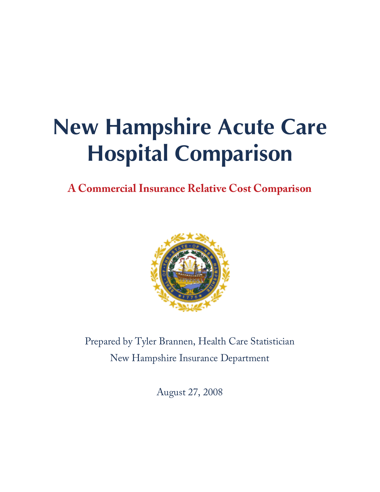# **New Hampshire Acute Care Hospital Comparison**

**A Commercial Insurance Relative Cost Comparison** 



Prepared by Tyler Brannen, Health Care Statistician New Hampshire Insurance Department

August 27, 2008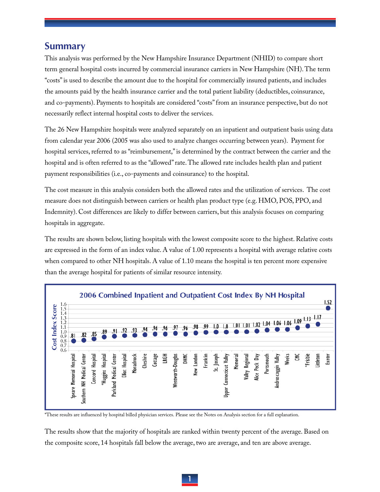### **Summary**

This analysis was performed by the New Hampshire Insurance Department (NHID) to compare short term general hospital costs incurred by commercial insurance carriers in New Hampshire (NH). The term "costs" is used to describe the amount due to the hospital for commercially insured patients, and includes the amounts paid by the health insurance carrier and the total patient liability (deductibles, coinsurance, and co-payments). Payments to hospitals are considered "costs" from an insurance perspective, but do not necessarily reflect internal hospital costs to deliver the services.

The 26 New Hampshire hospitals were analyzed separately on an inpatient and outpatient basis using data from calendar year 2006 (2005 was also used to analyze changes occurring between years). Payment for hospital services, referred to as "reimbursement," is determined by the contract between the carrier and the hospital and is often referred to as the "allowed" rate. The allowed rate includes health plan and patient payment responsibilities (i.e., co-payments and coinsurance) to the hospital.

The cost measure in this analysis considers both the allowed rates and the utilization of services. The cost measure does not distinguish between carriers or health plan product type (e.g. HMO, POS, PPO, and Indemnity). Cost differences are likely to differ between carriers, but this analysis focuses on comparing hospitals in aggregate.

The results are shown below, listing hospitals with the lowest composite score to the highest. Relative costs are expressed in the form of an index value. A value of 1.00 represents a hospital with average relative costs when compared to other NH hospitals. A value of 1.10 means the hospital is ten percent more expensive than the average hospital for patients of similar resource intensity.



\*These results are influenced by hospital billed physician services. Please see the Notes on Analysis section for a full explanation.

The results show that the majority of hospitals are ranked within twenty percent of the average. Based on the composite score, 14 hospitals fall below the average, two are average, and ten are above average.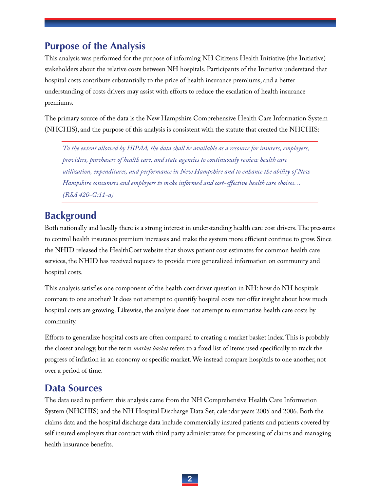## **Purpose of the Analysis**

This analysis was performed for the purpose of informing NH Citizens Health Initiative (the Initiative) stakeholders about the relative costs between NH hospitals. Participants of the Initiative understand that hospital costs contribute substantially to the price of health insurance premiums, and a better understanding of costs drivers may assist with efforts to reduce the escalation of health insurance premiums.

The primary source of the data is the New Hampshire Comprehensive Health Care Information System (NHCHIS), and the purpose of this analysis is consistent with the statute that created the NHCHIS:

*To the extent allowed by HIPAA, the data shall be available as a resource for insurers, employers, providers, purchasers of health care, and state agencies to continuously review health care utilization, expenditures, and performance in New Hampshire and to enhance the ability of New Hampshire consumers and employers to make informed and cost-effective health care choices… (RSA 420-G:11-a)* 

# **Background**

Both nationally and locally there is a strong interest in understanding health care cost drivers. The pressures to control health insurance premium increases and make the system more efficient continue to grow. Since the NHID released the HealthCost website that shows patient cost estimates for common health care services, the NHID has received requests to provide more generalized information on community and hospital costs.

This analysis satisfies one component of the health cost driver question in NH: how do NH hospitals compare to one another? It does not attempt to quantify hospital costs nor offer insight about how much hospital costs are growing. Likewise, the analysis does not attempt to summarize health care costs by community.

Efforts to generalize hospital costs are often compared to creating a market basket index. This is probably the closest analogy, but the term *market basket* refers to a fixed list of items used specifically to track the progress of inflation in an economy or specific market. We instead compare hospitals to one another, not over a period of time.

### **Data Sources**

The data used to perform this analysis came from the NH Comprehensive Health Care Information System (NHCHIS) and the NH Hospital Discharge Data Set, calendar years 2005 and 2006. Both the claims data and the hospital discharge data include commercially insured patients and patients covered by self insured employers that contract with third party administrators for processing of claims and managing health insurance benefits.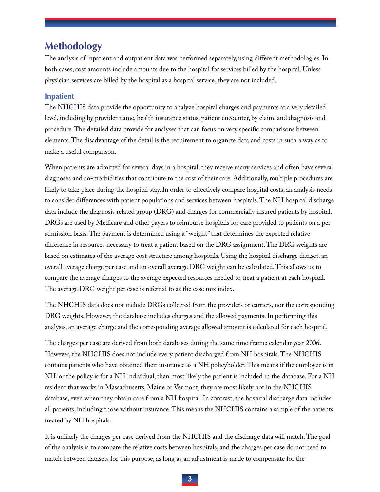### **Methodology**

The analysis of inpatient and outpatient data was performed separately, using different methodologies. In both cases, cost amounts include amounts due to the hospital for services billed by the hospital. Unless physician services are billed by the hospital as a hospital service, they are not included.

#### **Inpatient**

The NHCHIS data provide the opportunity to analyze hospital charges and payments at a very detailed level, including by provider name, health insurance status, patient encounter, by claim, and diagnosis and procedure. The detailed data provide for analyses that can focus on very specific comparisons between elements. The disadvantage of the detail is the requirement to organize data and costs in such a way as to make a useful comparison.

When patients are admitted for several days in a hospital, they receive many services and often have several diagnoses and co-morbidities that contribute to the cost of their care. Additionally, multiple procedures are likely to take place during the hospital stay. In order to effectively compare hospital costs, an analysis needs to consider differences with patient populations and services between hospitals. The NH hospital discharge data include the diagnosis related group (DRG) and charges for commercially insured patients by hospital. DRGs are used by Medicare and other payers to reimburse hospitals for care provided to patients on a per admission basis. The payment is determined using a "weight" that determines the expected relative difference in resources necessary to treat a patient based on the DRG assignment. The DRG weights are based on estimates of the average cost structure among hospitals. Using the hospital discharge dataset, an overall average charge per case and an overall average DRG weight can be calculated. This allows us to compare the average charges to the average expected resources needed to treat a patient at each hospital. The average DRG weight per case is referred to as the case mix index.

The NHCHIS data does not include DRGs collected from the providers or carriers, nor the corresponding DRG weights. However, the database includes charges and the allowed payments. In performing this analysis, an average charge and the corresponding average allowed amount is calculated for each hospital.

The charges per case are derived from both databases during the same time frame: calendar year 2006. However, the NHCHIS does not include every patient discharged from NH hospitals. The NHCHIS contains patients who have obtained their insurance as a NH policyholder. This means if the employer is in NH, or the policy is for a NH individual, than most likely the patient is included in the database. For a NH resident that works in Massachusetts, Maine or Vermont, they are most likely not in the NHCHIS database, even when they obtain care from a NH hospital. In contrast, the hospital discharge data includes all patients, including those without insurance. This means the NHCHIS contains a sample of the patients treated by NH hospitals.

It is unlikely the charges per case derived from the NHCHIS and the discharge data will match. The goal of the analysis is to compare the relative costs between hospitals, and the charges per case do not need to match between datasets for this purpose, as long as an adjustment is made to compensate for the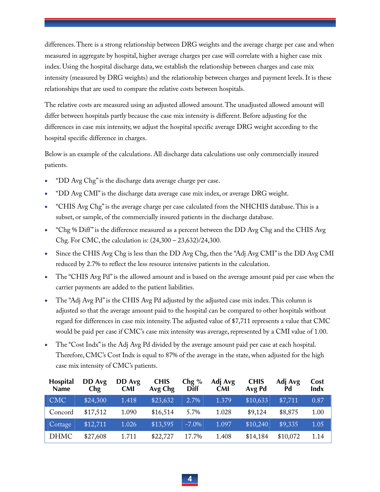differences. There is a strong relationship between DRG weights and the average charge per case and when measured in aggregate by hospital, higher average charges per case will correlate with a higher case mix index. Using the hospital discharge data, we establish the relationship between charges and case mix intensity (measured by DRG weights) and the relationship between charges and payment levels. It is these relationships that are used to compare the relative costs between hospitals.

The relative costs are measured using an adjusted allowed amount. The unadjusted allowed amount will differ between hospitals partly because the case mix intensity is different. Before adjusting for the differences in case mix intensity, we adjust the hospital specific average DRG weight according to the hospital specific difference in charges.

Below is an example of the calculations. All discharge data calculations use only commercially insured patients.

- "DD Avg Chg" is the discharge data average charge per case.
- "DD Avg CMI" is the discharge data average case mix index, or average DRG weight.
- "CHIS Avg Chg" is the average charge per case calculated from the NHCHIS database. This is a subset, or sample, of the commercially insured patients in the discharge database.
- "Chg % Diff " is the difference measured as a percent between the DD Avg Chg and the CHIS Avg Chg. For CMC, the calculation is: (24,300 – 23,632)/24,300.
- Since the CHIS Avg Chg is less than the DD Avg Chg, then the "Adj Avg CMI" is the DD Avg CMI reduced by 2.7% to reflect the less resource intensive patients in the calculation.
- The "CHIS Avg Pd" is the allowed amount and is based on the average amount paid per case when the carrier payments are added to the patient liabilities.
- The "Adj Avg Pd" is the CHIS Avg Pd adjusted by the adjusted case mix index. This column is adjusted so that the average amount paid to the hospital can be compared to other hospitals without regard for differences in case mix intensity. The adjusted value of \$7,711 represents a value that CMC would be paid per case if CMC's case mix intensity was average, represented by a CMI value of 1.00.
- The "Cost Indx" is the Adj Avg Pd divided by the average amount paid per case at each hospital. Therefore, CMC's Cost Indx is equal to 87% of the average in the state, when adjusted for the high case mix intensity of CMC's patients.

| <b>Hospital</b><br>Name | DD Avg<br>Chg | DD Avg<br><b>CMI</b> | <b>CHIS</b><br>Avg Chg | Chg %<br><b>Diff</b> | Adj Avg<br><b>CMI</b> | <b>CHIS</b><br>Avg Pd | Adj Avg<br>Pd | Cost<br>Indx |
|-------------------------|---------------|----------------------|------------------------|----------------------|-----------------------|-----------------------|---------------|--------------|
| <b>CMC</b>              | \$24,300      | 1.418                | \$23,632               | 2.7%                 | 1.379                 | \$10,633              | \$7,711       | 0.87         |
| Concord                 | \$17,512      | 1.090                | \$16,514               | 5.7%                 | 1.028                 | \$9,124               | \$8,875       | 1.00         |
| Cottage                 | \$12,711      | 1.026                | \$13,595               | $-7.0\%$             | 1.097                 | \$10,240              | \$9,335       | 1.05         |
| <b>DHMC</b>             | \$27,608      | 1.711                | \$22,727               | 17.7%                | 1.408                 | \$14,184              | \$10,072      | 1.14         |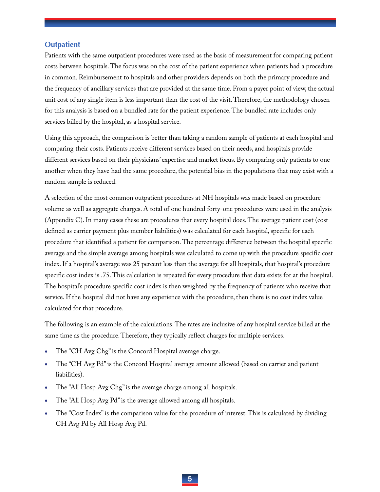#### **Outpatient**

Patients with the same outpatient procedures were used as the basis of measurement for comparing patient costs between hospitals. The focus was on the cost of the patient experience when patients had a procedure in common. Reimbursement to hospitals and other providers depends on both the primary procedure and the frequency of ancillary services that are provided at the same time. From a payer point of view, the actual unit cost of any single item is less important than the cost of the visit. Therefore, the methodology chosen for this analysis is based on a bundled rate for the patient experience. The bundled rate includes only services billed by the hospital, as a hospital service.

Using this approach, the comparison is better than taking a random sample of patients at each hospital and comparing their costs. Patients receive different services based on their needs, and hospitals provide different services based on their physicians' expertise and market focus. By comparing only patients to one another when they have had the same procedure, the potential bias in the populations that may exist with a random sample is reduced.

A selection of the most common outpatient procedures at NH hospitals was made based on procedure volume as well as aggregate charges. A total of one hundred forty-one procedures were used in the analysis (Appendix C). In many cases these are procedures that every hospital does. The average patient cost (cost defined as carrier payment plus member liabilities) was calculated for each hospital, specific for each procedure that identified a patient for comparison. The percentage difference between the hospital specific average and the simple average among hospitals was calculated to come up with the procedure specific cost index. If a hospital's average was 25 percent less than the average for all hospitals, that hospital's procedure specific cost index is .75. This calculation is repeated for every procedure that data exists for at the hospital. The hospital's procedure specific cost index is then weighted by the frequency of patients who receive that service. If the hospital did not have any experience with the procedure, then there is no cost index value calculated for that procedure.

The following is an example of the calculations. The rates are inclusive of any hospital service billed at the same time as the procedure. Therefore, they typically reflect charges for multiple services.

- The "CH Avg Chg" is the Concord Hospital average charge.
- The "CH Avg Pd" is the Concord Hospital average amount allowed (based on carrier and patient liabilities).
- The "All Hosp Avg Chg" is the average charge among all hospitals.
- The "All Hosp Avg Pd" is the average allowed among all hospitals.
- The "Cost Index" is the comparison value for the procedure of interest. This is calculated by dividing CH Avg Pd by All Hosp Avg Pd.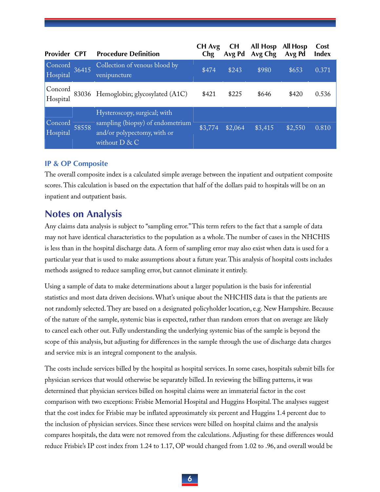| Provider CPT        |       | <b>Procedure Definition</b>                                                                                         | CH Avg<br>Chg | <b>CH</b><br>Avg Pd | All Hosp<br>Avg Chg | <b>All Hosp</b><br>Avg Pd | Cost<br><b>Index</b> |
|---------------------|-------|---------------------------------------------------------------------------------------------------------------------|---------------|---------------------|---------------------|---------------------------|----------------------|
| Concord<br>Hospital | 36415 | Collection of venous blood by<br>venipuncture                                                                       | \$474         | \$243               | \$980               | \$653                     | 0.371                |
| Concord<br>Hospital |       | 83036 Hemoglobin; glycosylated (A1C)                                                                                | \$421         | \$225               | \$646               | \$420                     | 0.536                |
| Concord<br>Hospital | 58558 | Hysteroscopy, surgical; with<br>sampling (biopsy) of endometrium<br>and/or polypectomy, with or<br>without $D \& C$ | \$3,774       | \$2,064             | \$3,415             | \$2,550                   | 0.810                |

#### **IP & OP Composite**

The overall composite index is a calculated simple average between the inpatient and outpatient composite scores. This calculation is based on the expectation that half of the dollars paid to hospitals will be on an inpatient and outpatient basis.

### **Notes on Analysis**

Any claims data analysis is subject to "sampling error." This term refers to the fact that a sample of data may not have identical characteristics to the population as a whole. The number of cases in the NHCHIS is less than in the hospital discharge data. A form of sampling error may also exist when data is used for a particular year that is used to make assumptions about a future year. This analysis of hospital costs includes methods assigned to reduce sampling error, but cannot eliminate it entirely.

Using a sample of data to make determinations about a larger population is the basis for inferential statistics and most data driven decisions. What's unique about the NHCHIS data is that the patients are not randomly selected. They are based on a designated policyholder location, e.g. New Hampshire. Because of the nature of the sample, systemic bias is expected, rather than random errors that on average are likely to cancel each other out. Fully understanding the underlying systemic bias of the sample is beyond the scope of this analysis, but adjusting for differences in the sample through the use of discharge data charges and service mix is an integral component to the analysis.

The costs include services billed by the hospital as hospital services. In some cases, hospitals submit bills for physician services that would otherwise be separately billed. In reviewing the billing patterns, it was determined that physician services billed on hospital claims were an immaterial factor in the cost comparison with two exceptions: Frisbie Memorial Hospital and Huggins Hospital. The analyses suggest that the cost index for Frisbie may be inflated approximately six percent and Huggins 1.4 percent due to the inclusion of physician services. Since these services were billed on hospital claims and the analysis compares hospitals, the data were not removed from the calculations. Adjusting for these differences would reduce Frisbie's IP cost index from 1.24 to 1.17, OP would changed from 1.02 to .96, and overall would be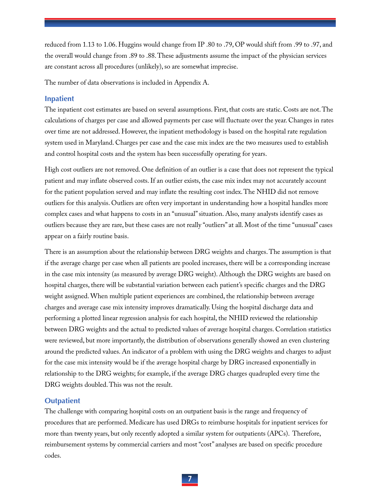reduced from 1.13 to 1.06. Huggins would change from IP .80 to .79, OP would shift from .99 to .97, and the overall would change from .89 to .88. These adjustments assume the impact of the physician services are constant across all procedures (unlikely), so are somewhat imprecise.

The number of data observations is included in Appendix A.

#### **Inpatient**

The inpatient cost estimates are based on several assumptions. First, that costs are static. Costs are not. The calculations of charges per case and allowed payments per case will fluctuate over the year. Changes in rates over time are not addressed. However, the inpatient methodology is based on the hospital rate regulation system used in Maryland. Charges per case and the case mix index are the two measures used to establish and control hospital costs and the system has been successfully operating for years.

High cost outliers are not removed. One definition of an outlier is a case that does not represent the typical patient and may inflate observed costs. If an outlier exists, the case mix index may not accurately account for the patient population served and may inflate the resulting cost index. The NHID did not remove outliers for this analysis. Outliers are often very important in understanding how a hospital handles more complex cases and what happens to costs in an "unusual" situation. Also, many analysts identify cases as outliers because they are rare, but these cases are not really "outliers" at all. Most of the time "unusual" cases appear on a fairly routine basis.

There is an assumption about the relationship between DRG weights and charges. The assumption is that if the average charge per case when all patients are pooled increases, there will be a corresponding increase in the case mix intensity (as measured by average DRG weight). Although the DRG weights are based on hospital charges, there will be substantial variation between each patient's specific charges and the DRG weight assigned. When multiple patient experiences are combined, the relationship between average charges and average case mix intensity improves dramatically. Using the hospital discharge data and performing a plotted linear regression analysis for each hospital, the NHID reviewed the relationship between DRG weights and the actual to predicted values of average hospital charges. Correlation statistics were reviewed, but more importantly, the distribution of observations generally showed an even clustering around the predicted values. An indicator of a problem with using the DRG weights and charges to adjust for the case mix intensity would be if the average hospital charge by DRG increased exponentially in relationship to the DRG weights; for example, if the average DRG charges quadrupled every time the DRG weights doubled. This was not the result.

#### **Outpatient**

The challenge with comparing hospital costs on an outpatient basis is the range and frequency of procedures that are performed. Medicare has used DRGs to reimburse hospitals for inpatient services for more than twenty years, but only recently adopted a similar system for outpatients (APCs). Therefore, reimbursement systems by commercial carriers and most "cost" analyses are based on specific procedure codes.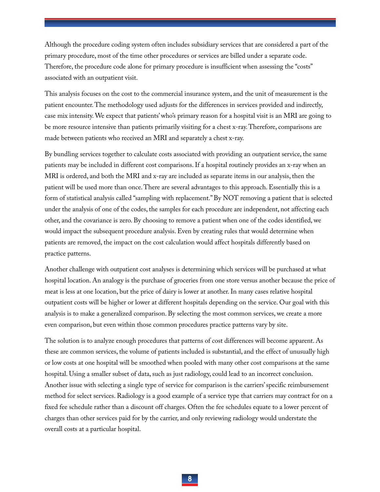Although the procedure coding system often includes subsidiary services that are considered a part of the primary procedure, most of the time other procedures or services are billed under a separate code. Therefore, the procedure code alone for primary procedure is insufficient when assessing the "costs" associated with an outpatient visit.

This analysis focuses on the cost to the commercial insurance system, and the unit of measurement is the patient encounter. The methodology used adjusts for the differences in services provided and indirectly, case mix intensity. We expect that patients' who's primary reason for a hospital visit is an MRI are going to be more resource intensive than patients primarily visiting for a chest x-ray. Therefore, comparisons are made between patients who received an MRI and separately a chest x-ray.

By bundling services together to calculate costs associated with providing an outpatient service, the same patients may be included in different cost comparisons. If a hospital routinely provides an x-ray when an MRI is ordered, and both the MRI and x-ray are included as separate items in our analysis, then the patient will be used more than once. There are several advantages to this approach. Essentially this is a form of statistical analysis called "sampling with replacement." By NOT removing a patient that is selected under the analysis of one of the codes, the samples for each procedure are independent, not affecting each other, and the covariance is zero. By choosing to remove a patient when one of the codes identified, we would impact the subsequent procedure analysis. Even by creating rules that would determine when patients are removed, the impact on the cost calculation would affect hospitals differently based on practice patterns.

Another challenge with outpatient cost analyses is determining which services will be purchased at what hospital location. An analogy is the purchase of groceries from one store versus another because the price of meat is less at one location, but the price of dairy is lower at another. In many cases relative hospital outpatient costs will be higher or lower at different hospitals depending on the service. Our goal with this analysis is to make a generalized comparison. By selecting the most common services, we create a more even comparison, but even within those common procedures practice patterns vary by site.

The solution is to analyze enough procedures that patterns of cost differences will become apparent. As these are common services, the volume of patients included is substantial, and the effect of unusually high or low costs at one hospital will be smoothed when pooled with many other cost comparisons at the same hospital. Using a smaller subset of data, such as just radiology, could lead to an incorrect conclusion. Another issue with selecting a single type of service for comparison is the carriers' specific reimbursement method for select services. Radiology is a good example of a service type that carriers may contract for on a fixed fee schedule rather than a discount off charges. Often the fee schedules equate to a lower percent of charges than other services paid for by the carrier, and only reviewing radiology would understate the overall costs at a particular hospital.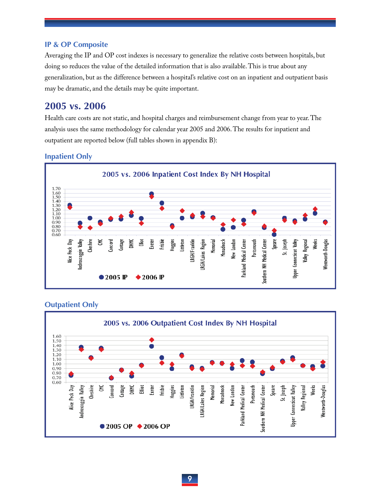#### **IP & OP Composite**

Averaging the IP and OP cost indexes is necessary to generalize the relative costs between hospitals, but doing so reduces the value of the detailed information that is also available. This is true about any generalization, but as the difference between a hospital's relative cost on an inpatient and outpatient basis may be dramatic, and the details may be quite important.

#### **2005 vs. 2006**

Health care costs are not static, and hospital charges and reimbursement change from year to year. The analysis uses the same methodology for calendar year 2005 and 2006. The results for inpatient and outpatient are reported below (full tables shown in appendix B):

#### **Inpatient Only**



#### **Outpatient Only**

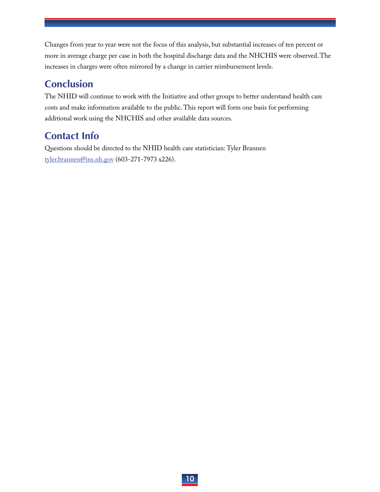Changes from year to year were not the focus of this analysis, but substantial increases of ten percent or more in average charge per case in both the hospital discharge data and the NHCHIS were observed. The increases in charges were often mirrored by a change in carrier reimbursement levels.

# **Conclusion**

The NHID will continue to work with the Initiative and other groups to better understand health care costs and make information available to the public. This report will form one basis for performing additional work using the NHCHIS and other available data sources.

# **Contact Info**

Questions should be directed to the NHID health care statistician: Tyler Brannen tyler.brannen@ins.nh.gov (603-271-7973 x226).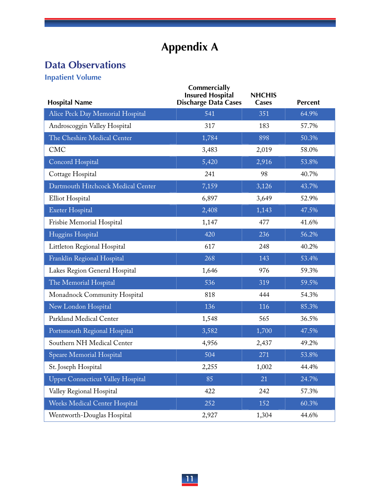# **Appendix A**

# **Data Observations**

**Inpatient Volume** 

| <b>Hospital Name</b>                     | Commercially<br><b>Insured Hospital</b><br><b>Discharge Data Cases</b> | <b>NHCHIS</b><br><b>Cases</b> | <b>Percent</b> |
|------------------------------------------|------------------------------------------------------------------------|-------------------------------|----------------|
| Alice Peck Day Memorial Hospital         | 541                                                                    | 351                           | 64.9%          |
| Androscoggin Valley Hospital             | 317                                                                    | 183                           | 57.7%          |
| The Cheshire Medical Center              | 1,784                                                                  | 898                           | 50.3%          |
| <b>CMC</b>                               | 3,483                                                                  | 2,019                         | 58.0%          |
| Concord Hospital                         | 5,420                                                                  | 2,916                         | 53.8%          |
| Cottage Hospital                         | 241                                                                    | 98                            | 40.7%          |
| Dartmouth Hitchcock Medical Center       | 7,159                                                                  | 3,126                         | 43.7%          |
| Elliot Hospital                          | 6,897                                                                  | 3,649                         | 52.9%          |
| <b>Exeter Hospital</b>                   | 2,408                                                                  | 1,143                         | 47.5%          |
| Frisbie Memorial Hospital                | 1,147                                                                  | 477                           | 41.6%          |
| Huggins Hospital                         | 420                                                                    | 236                           | 56.2%          |
| Littleton Regional Hospital              | 617                                                                    | 248                           | 40.2%          |
| Franklin Regional Hospital               | 268                                                                    | 143                           | 53.4%          |
| Lakes Region General Hospital            | 1,646                                                                  | 976                           | 59.3%          |
| The Memorial Hospital                    | 536                                                                    | 319                           | 59.5%          |
| Monadnock Community Hospital             | 818                                                                    | 444                           | 54.3%          |
| New London Hospital                      | 136                                                                    | 116                           | 85.3%          |
| Parkland Medical Center                  | 1,548                                                                  | 565                           | 36.5%          |
| Portsmouth Regional Hospital             | 3,582                                                                  | 1,700                         | 47.5%          |
| Southern NH Medical Center               | 4,956                                                                  | 2,437                         | 49.2%          |
| Speare Memorial Hospital                 | 504                                                                    | 271                           | 53.8%          |
| St. Joseph Hospital                      | 2,255                                                                  | 1,002                         | 44.4%          |
| <b>Upper Connecticut Valley Hospital</b> | 85                                                                     | 21                            | 24.7%          |
| Valley Regional Hospital                 | 422                                                                    | 242                           | 57.3%          |
| <b>Weeks Medical Center Hospital</b>     | 252                                                                    | 152                           | 60.3%          |
| Wentworth-Douglas Hospital               | 2,927                                                                  | 1,304                         | 44.6%          |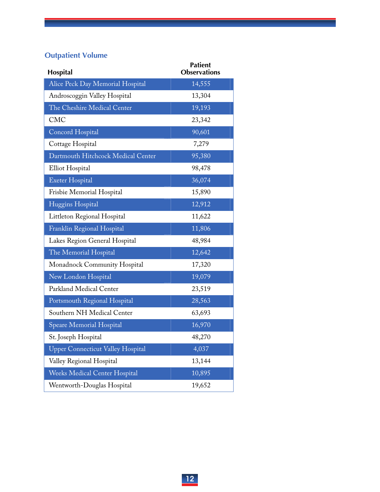# **Outpatient Volume**

| Hospital                                 | <b>Patient</b><br><b>Observations</b> |
|------------------------------------------|---------------------------------------|
| Alice Peck Day Memorial Hospital         | 14,555                                |
| Androscoggin Valley Hospital             | 13,304                                |
| The Cheshire Medical Center              | 19,193                                |
| <b>CMC</b>                               | 23,342                                |
| Concord Hospital                         | 90,601                                |
| Cottage Hospital                         | 7,279                                 |
| Dartmouth Hitchcock Medical Center       | 95,380                                |
| Elliot Hospital                          | 98,478                                |
| <b>Exeter Hospital</b>                   | 36,074                                |
| Frisbie Memorial Hospital                | 15,890                                |
| Huggins Hospital                         | 12,912                                |
| Littleton Regional Hospital              | 11,622                                |
| Franklin Regional Hospital               | 11,806                                |
| Lakes Region General Hospital            | 48,984                                |
| The Memorial Hospital                    | 12,642                                |
| Monadnock Community Hospital             | 17,320                                |
| New London Hospital                      | 19,079                                |
| Parkland Medical Center                  | 23,519                                |
| Portsmouth Regional Hospital             | 28,563                                |
| Southern NH Medical Center               | 63,693                                |
| <b>Speare Memorial Hospital</b>          | 16,970                                |
| St. Joseph Hospital                      | 48,270                                |
| <b>Upper Connecticut Valley Hospital</b> | 4,037                                 |
| Valley Regional Hospital                 | 13,144                                |
| <b>Weeks Medical Center Hospital</b>     | 10,895                                |
| Wentworth-Douglas Hospital               | 19,652                                |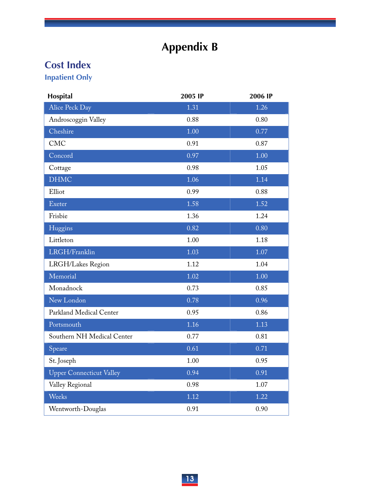# **Appendix B**

# **Cost Index**

**Inpatient Only** 

| Hospital                        | 2005 IP | 2006 IP |
|---------------------------------|---------|---------|
| Alice Peck Day                  | 1.31    | 1.26    |
| Androscoggin Valley             | 0.88    | 0.80    |
| Cheshire                        | 1.00    | 0.77    |
| <b>CMC</b>                      | 0.91    | 0.87    |
| Concord                         | 0.97    | 1.00    |
| Cottage                         | 0.98    | 1.05    |
| <b>DHMC</b>                     | 1.06    | 1.14    |
| Elliot                          | 0.99    | 0.88    |
| Exeter                          | 1.58    | 1.52    |
| Frisbie                         | 1.36    | 1.24    |
| Huggins                         | 0.82    | 0.80    |
| Littleton                       | 1.00    | 1.18    |
| LRGH/Franklin                   | 1.03    | 1.07    |
| LRGH/Lakes Region               | 1.12    | 1.04    |
| Memorial                        | 1.02    | 1.00    |
| Monadnock                       | 0.73    | 0.85    |
| New London                      | 0.78    | 0.96    |
| Parkland Medical Center         | 0.95    | 0.86    |
| Portsmouth                      | 1.16    | 1.13    |
| Southern NH Medical Center      | 0.77    | 0.81    |
| Speare                          | 0.61    | 0.71    |
| St. Joseph                      | 1.00    | 0.95    |
| <b>Upper Connecticut Valley</b> | 0.94    | 0.91    |
| Valley Regional                 | 0.98    | 1.07    |
| Weeks                           | 1.12    | 1.22    |
| Wentworth-Douglas               | 0.91    | 0.90    |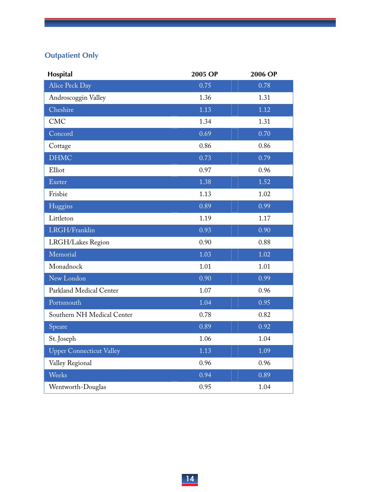# **Outpatient Only**

| Hospital                        | 2005 OP | 2006 OP |
|---------------------------------|---------|---------|
| Alice Peck Day                  | 0.75    | 0.78    |
| Androscoggin Valley             | 1.36    | 1.31    |
| Cheshire                        | 1.13    | 1.12    |
| <b>CMC</b>                      | 1.34    | 1.31    |
| Concord                         | 0.69    | 0.70    |
| Cottage                         | 0.86    | 0.86    |
| <b>DHMC</b>                     | 0.73    | 0.79    |
| Elliot                          | 0.97    | 0.96    |
| Exeter                          | 1.38    | 1.52    |
| Frisbie                         | 1.13    | 1.02    |
| Huggins                         | 0.89    | 0.99    |
| Littleton                       | 1.19    | 1.17    |
| LRGH/Franklin                   | 0.93    | 0.90    |
| LRGH/Lakes Region               | 0.90    | 0.88    |
| Memorial                        | 1.03    | 1.02    |
| Monadnock                       | 1.01    | 1.01    |
| New London                      | 0.90    | 0.99    |
| Parkland Medical Center         | 1.07    | 0.96    |
| Portsmouth                      | 1.04    | 0.95    |
| Southern NH Medical Center      | 0.78    | 0.82    |
| Speare                          | 0.89    | 0.92    |
| St. Joseph                      | 1.06    | 1.04    |
| <b>Upper Connecticut Valley</b> | 1.13    | 1.09    |
| Valley Regional                 | 0.96    | 0.96    |
| Weeks                           | 0.94    | 0.89    |
| Wentworth-Douglas               | 0.95    | 1.04    |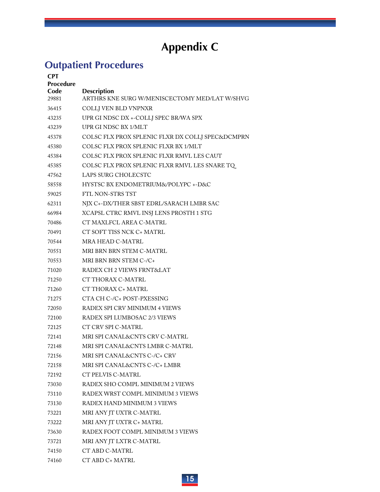# **Appendix C**

# **Outpatient Procedures**

| <b>CPT</b><br><b>Procedure</b><br>Code<br>29881 | <b>Description</b><br>ARTHRS KNE SURG W/MENISCECTOMY MED/LAT W/SHVG |
|-------------------------------------------------|---------------------------------------------------------------------|
| 36415                                           | COLLI VEN BLD VNPNXR                                                |
| 43235                                           | UPR GI NDSC DX +-COLLJ SPEC BR/WA SPX                               |
| 43239                                           | UPR GI NDSC BX 1/MLT                                                |
| 45378                                           | COLSC FLX PROX SPLENIC FLXR DX COLLJ SPEC&DCMPRN                    |
| 45380                                           | COLSC FLX PROX SPLENIC FLXR BX 1/MLT                                |
| 45384                                           | COLSC FLX PROX SPLENIC FLXR RMVL LES CAUT                           |
| 45385                                           | COLSC FLX PROX SPLENIC FLXR RMVL LES SNARE TQ                       |
| 47562                                           | LAPS SURG CHOLECSTC                                                 |
| 58558                                           | HYSTSC BX ENDOMETRIUM&/POLYPC +-D&C                                 |
| 59025                                           | FTL NON-STRS TST                                                    |
| 62311                                           | NJX C+-DX/THER SBST EDRL/SARACH LMBR SAC                            |
| 66984                                           | XCAPSL CTRC RMVL INSJ LENS PROSTH 1 STG                             |
| 70486                                           | CT MAXLFCL AREA C-MATRL                                             |
| 70491                                           | CT SOFT TISS NCK C+ MATRL                                           |
| 70544                                           | <b>MRA HEAD C-MATRL</b>                                             |
| 70551                                           | MRI BRN BRN STEM C-MATRL                                            |
| 70553                                           | MRI BRN BRN STEM C-/C+                                              |
| 71020                                           | RADEX CH 2 VIEWS FRNT&LAT                                           |
| 71250                                           | CT THORAX C-MATRL                                                   |
| 71260                                           | CT THORAX C+ MATRL                                                  |
| 71275                                           | CTA CH C-/C+ POST-PXESSING                                          |
| 72050                                           | RADEX SPI CRV MINIMUM 4 VIEWS                                       |
| 72100                                           | RADEX SPI LUMBOSAC 2/3 VIEWS                                        |
| 72125                                           | CT CRV SPI C-MATRL                                                  |
| 72141                                           | MRI SPI CANAL&CNTS CRV C-MATRL                                      |
| 72148                                           | MRI SPI CANAL&CNTS LMBR C-MATRL                                     |
| 72156                                           | MRI SPI CANAL&CNTS C-/C+ CRV                                        |
| 72158                                           | MRI SPI CANAL&CNTS C-/C+ LMBR                                       |
| 72192                                           | CT PELVIS C-MATRL                                                   |
| 73030                                           | RADEX SHO COMPL MINIMUM 2 VIEWS                                     |
| 73110                                           | RADEX WRST COMPL MINIMUM 3 VIEWS                                    |
| 73130                                           | RADEX HAND MINIMUM 3 VIEWS                                          |
| 73221                                           | MRI ANY JT UXTR C-MATRL                                             |
| 73222                                           | MRI ANY JT UXTR C+ MATRL                                            |
| 73630                                           | RADEX FOOT COMPL MINIMUM 3 VIEWS                                    |
| 73721                                           | MRI ANY JT LXTR C-MATRL                                             |
| 74150                                           | CT ABD C-MATRL                                                      |
| 74160                                           | CT ABD C+ MATRL                                                     |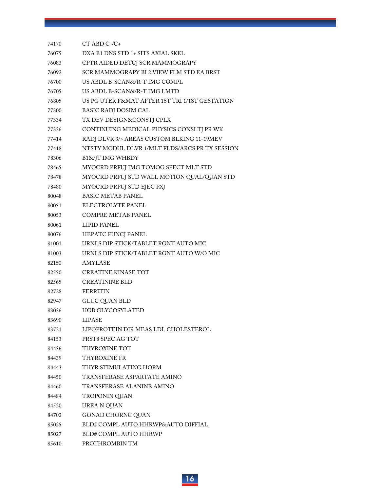| 74170 | $CT$ ABD $C$ - $/C$ +                          |
|-------|------------------------------------------------|
| 76075 | DXA B1 DNS STD 1+ SITS AXIAL SKEL              |
| 76083 | CPTR AIDED DETCJ SCR MAMMOGRAPY                |
| 76092 | SCR MAMMOGRAPY BI 2 VIEW FLM STD EA BRST       |
| 76700 | US ABDL B-SCAN&/R-T IMG COMPL                  |
| 76705 | US ABDL B-SCAN&/R-T IMG LMTD                   |
| 76805 | US PG UTER F&MAT AFTER 1ST TRI 1/1ST GESTATION |
| 77300 | BASIC RADJ DOSIM CAL                           |
| 77334 | TX DEV DESIGN&CONSTJ CPLX                      |
| 77336 | CONTINUING MEDICAL PHYSICS CONSLTJ PR WK       |
| 77414 | RADJ DLVR 3/> AREAS CUSTOM BLKING 11-19MEV     |
| 77418 | NTSTY MODUL DLVR 1/MLT FLDS/ARCS PR TX SESSION |
| 78306 | B1&/JT IMG WHBDY                               |
| 78465 | MYOCRD PRFUJ IMG TOMOG SPECT MLT STD           |
| 78478 | MYOCRD PRFUJ STD WALL MOTION QUAL/QUAN STD     |
| 78480 | MYOCRD PRFUJ STD EJEC FXJ                      |
| 80048 | <b>BASIC METAB PANEL</b>                       |
| 80051 | ELECTROLYTE PANEL                              |
| 80053 | <b>COMPRE METAB PANEL</b>                      |
| 80061 | <b>LIPID PANEL</b>                             |
| 80076 | HEPATC FUNCJ PANEL                             |
| 81001 | URNLS DIP STICK/TABLET RGNT AUTO MIC           |
| 81003 | URNLS DIP STICK/TABLET RGNT AUTO W/O MIC       |
| 82150 | AMYLASE                                        |
| 82550 | CREATINE KINASE TOT                            |
| 82565 | <b>CREATININE BLD</b>                          |
| 82728 | <b>FERRITIN</b>                                |
| 82947 | <b>GLUC QUAN BLD</b>                           |
| 83036 | HGB GLYCOSYLATED                               |
| 83690 | LIPASE                                         |
| 83721 | LIPOPROTEIN DIR MEAS LDL CHOLESTEROL           |
| 84153 | PRST8 SPEC AG TOT                              |
| 84436 | THYROXINE TOT                                  |
| 84439 | THYROXINE FR                                   |
| 84443 | THYR STIMULATING HORM                          |
| 84450 | TRANSFERASE ASPARTATE AMINO                    |
| 84460 | <b>TRANSFERASE ALANINE AMINO</b>               |
| 84484 | TROPONIN QUAN                                  |
| 84520 | UREA N QUAN                                    |
| 84702 | GONAD CHORNC QUAN                              |
| 85025 | BLD# COMPL AUTO HHRWP&AUTO DIFFIAL             |
| 85027 | BLD# COMPL AUTO HHRWP                          |
| 85610 | PROTHROMBIN TM                                 |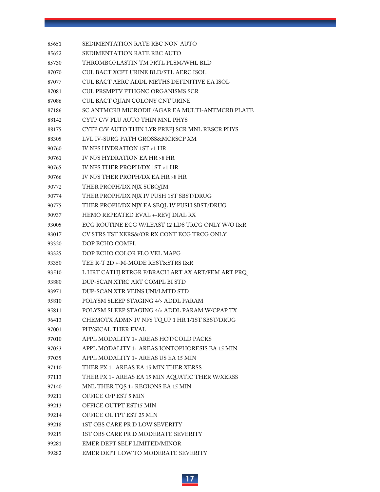| 85651 | SEDIMENTATION RATE RBC NON-AUTO                  |
|-------|--------------------------------------------------|
| 85652 | SEDIMENTATION RATE RBC AUTO                      |
| 85730 | THROMBOPLASTIN TM PRTL PLSM/WHL BLD              |
| 87070 | CUL BACT XCPT URINE BLD/STL AERC ISOL            |
| 87077 | CUL BACT AERC ADDL METHS DEFINITIVE EA ISOL      |
| 87081 | CUL PRSMPTV PTHGNC ORGANISMS SCR                 |
| 87086 | CUL BACT QUAN COLONY CNT URINE                   |
| 87186 | SC ANTMCRB MICRODIL/AGAR EA MULTI-ANTMCRB PLATE  |
| 88142 | CYTP C/V FLU AUTO THIN MNL PHYS                  |
| 88175 | CYTP C/V AUTO THIN LYR PREPJ SCR MNL RESCR PHYS  |
| 88305 | LVL IV-SURG PATH GROSS&MCRSCP XM                 |
| 90760 | IV NFS HYDRATION 1ST >1 HR                       |
| 90761 | IV NFS HYDRATION EA HR > 8 HR                    |
| 90765 | IV NFS THER PROPH/DX 1ST >1 HR                   |
| 90766 | IV NFS THER PROPH/DX EA HR > 8 HR                |
| 90772 | THER PROPH/DX NJX SUBQ/IM                        |
| 90774 | THER PROPH/DX NJX IV PUSH 1ST SBST/DRUG          |
| 90775 | THER PROPH/DX NJX EA SEQL IV PUSH SBST/DRUG      |
| 90937 | HEMO REPEATED EVAL +-REVJ DIAL RX                |
| 93005 | ECG ROUTINE ECG W/LEAST 12 LDS TRCG ONLY W/O I&R |
| 93017 | CV STRS TST XERS&/OR RX CONT ECG TRCG ONLY       |
| 93320 | DOP ECHO COMPL                                   |
| 93325 | DOP ECHO COLOR FLO VEL MAPG                      |
| 93350 | TEE R-T 2D +-M-MODE REST&STRS I&R                |
| 93510 | L HRT CATHJ RTRGR F/BRACH ART AX ART/FEM ART PRQ |
| 93880 | DUP-SCAN XTRC ART COMPL BI STD                   |
| 93971 | DUP-SCAN XTR VEINS UNI/LMTD STD                  |
| 95810 | POLYSM SLEEP STAGING 4/> ADDL PARAM              |
| 95811 | POLYSM SLEEP STAGING 4/> ADDL PARAM W/CPAP TX    |
| 96413 | CHEMOTX ADMN IV NFS TQUP 1 HR 1/1ST SBST/DRUG    |
| 97001 | PHYSICAL THER EVAL                               |
| 97010 | APPL MODALITY 1+ AREAS HOT/COLD PACKS            |
| 97033 | APPL MODALITY 1+ AREAS IONTOPHORESIS EA 15 MIN   |
| 97035 | APPL MODALITY 1+ AREAS US EA 15 MIN              |
| 97110 | THER PX 1+ AREAS EA 15 MIN THER XERSS            |
| 97113 | THER PX 1+ AREAS EA 15 MIN AQUATIC THER W/XERSS  |
| 97140 | MNL THER TQS 1+ REGIONS EA 15 MIN                |
| 99211 | OFFICE O/P EST 5 MIN                             |
| 99213 | OFFICE OUTPT EST15 MIN                           |
| 99214 | OFFICE OUTPT EST 25 MIN                          |
| 99218 | 1ST OBS CARE PR D LOW SEVERITY                   |
| 99219 | 1ST OBS CARE PR D MODERATE SEVERITY              |
| 99281 | EMER DEPT SELF LIMITED/MINOR                     |
| 99282 | EMER DEPT LOW TO MODERATE SEVERITY               |